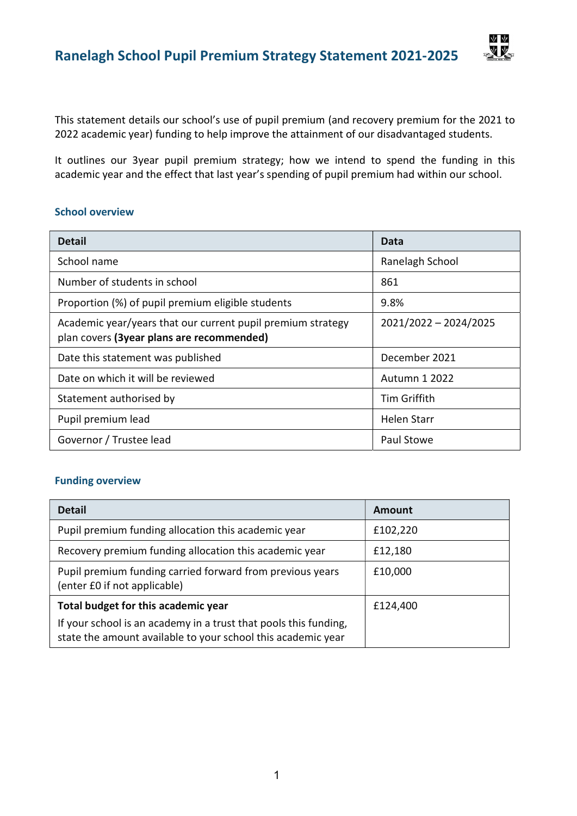This statement details our school's use of pupil premium (and recovery premium for the 2021 to 2022 academic year) funding to help improve the attainment of our disadvantaged students.

ΨV **NV** 

It outlines our 3year pupil premium strategy; how we intend to spend the funding in this academic year and the effect that last year's spending of pupil premium had within our school.

#### School overview

| <b>Detail</b>                                                                                            | Data                  |  |
|----------------------------------------------------------------------------------------------------------|-----------------------|--|
| School name                                                                                              | Ranelagh School       |  |
| Number of students in school                                                                             | 861                   |  |
| Proportion (%) of pupil premium eligible students                                                        | 9.8%                  |  |
| Academic year/years that our current pupil premium strategy<br>plan covers (3year plans are recommended) | 2021/2022 - 2024/2025 |  |
| Date this statement was published                                                                        | December 2021         |  |
| Date on which it will be reviewed                                                                        | <b>Autumn 1 2022</b>  |  |
| Statement authorised by                                                                                  | Tim Griffith          |  |
| Pupil premium lead                                                                                       | <b>Helen Starr</b>    |  |
| Governor / Trustee lead                                                                                  | Paul Stowe            |  |

#### Funding overview

| <b>Detail</b>                                                                                                                    | Amount   |
|----------------------------------------------------------------------------------------------------------------------------------|----------|
| Pupil premium funding allocation this academic year                                                                              | £102,220 |
| Recovery premium funding allocation this academic year                                                                           | £12,180  |
| Pupil premium funding carried forward from previous years<br>(enter £0 if not applicable)                                        | £10,000  |
| Total budget for this academic year                                                                                              | £124,400 |
| If your school is an academy in a trust that pools this funding,<br>state the amount available to your school this academic year |          |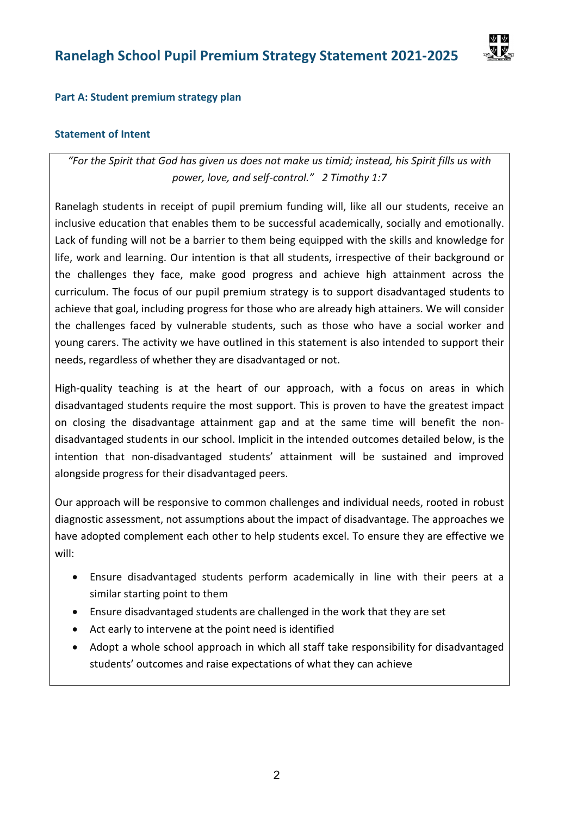

### Part A: Student premium strategy plan

### Statement of Intent

"For the Spirit that God has given us does not make us timid; instead, his Spirit fills us with power, love, and self-control." 2 Timothy 1:7

Ranelagh students in receipt of pupil premium funding will, like all our students, receive an inclusive education that enables them to be successful academically, socially and emotionally. Lack of funding will not be a barrier to them being equipped with the skills and knowledge for life, work and learning. Our intention is that all students, irrespective of their background or the challenges they face, make good progress and achieve high attainment across the curriculum. The focus of our pupil premium strategy is to support disadvantaged students to achieve that goal, including progress for those who are already high attainers. We will consider the challenges faced by vulnerable students, such as those who have a social worker and young carers. The activity we have outlined in this statement is also intended to support their needs, regardless of whether they are disadvantaged or not.

High-quality teaching is at the heart of our approach, with a focus on areas in which disadvantaged students require the most support. This is proven to have the greatest impact on closing the disadvantage attainment gap and at the same time will benefit the nondisadvantaged students in our school. Implicit in the intended outcomes detailed below, is the intention that non-disadvantaged students' attainment will be sustained and improved alongside progress for their disadvantaged peers.

Our approach will be responsive to common challenges and individual needs, rooted in robust diagnostic assessment, not assumptions about the impact of disadvantage. The approaches we have adopted complement each other to help students excel. To ensure they are effective we will:

- Ensure disadvantaged students perform academically in line with their peers at a similar starting point to them
- Ensure disadvantaged students are challenged in the work that they are set
- Act early to intervene at the point need is identified
- Adopt a whole school approach in which all staff take responsibility for disadvantaged students' outcomes and raise expectations of what they can achieve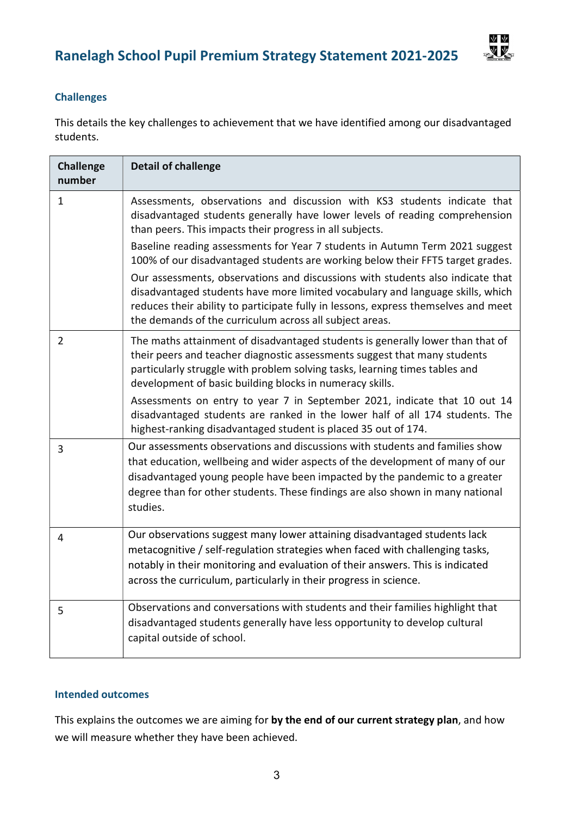

### Challenges

This details the key challenges to achievement that we have identified among our disadvantaged students.

| <b>Challenge</b><br>number | <b>Detail of challenge</b>                                                                                                                                                                                                                                                                                                                                                                                                                                              |
|----------------------------|-------------------------------------------------------------------------------------------------------------------------------------------------------------------------------------------------------------------------------------------------------------------------------------------------------------------------------------------------------------------------------------------------------------------------------------------------------------------------|
| $\mathbf{1}$               | Assessments, observations and discussion with KS3 students indicate that<br>disadvantaged students generally have lower levels of reading comprehension<br>than peers. This impacts their progress in all subjects.<br>Baseline reading assessments for Year 7 students in Autumn Term 2021 suggest<br>100% of our disadvantaged students are working below their FFT5 target grades.<br>Our assessments, observations and discussions with students also indicate that |
|                            | disadvantaged students have more limited vocabulary and language skills, which<br>reduces their ability to participate fully in lessons, express themselves and meet<br>the demands of the curriculum across all subject areas.                                                                                                                                                                                                                                         |
| $\overline{2}$             | The maths attainment of disadvantaged students is generally lower than that of<br>their peers and teacher diagnostic assessments suggest that many students<br>particularly struggle with problem solving tasks, learning times tables and<br>development of basic building blocks in numeracy skills.                                                                                                                                                                  |
|                            | Assessments on entry to year 7 in September 2021, indicate that 10 out 14<br>disadvantaged students are ranked in the lower half of all 174 students. The<br>highest-ranking disadvantaged student is placed 35 out of 174.                                                                                                                                                                                                                                             |
| 3                          | Our assessments observations and discussions with students and families show<br>that education, wellbeing and wider aspects of the development of many of our<br>disadvantaged young people have been impacted by the pandemic to a greater<br>degree than for other students. These findings are also shown in many national<br>studies.                                                                                                                               |
| $\overline{4}$             | Our observations suggest many lower attaining disadvantaged students lack<br>metacognitive / self-regulation strategies when faced with challenging tasks,<br>notably in their monitoring and evaluation of their answers. This is indicated<br>across the curriculum, particularly in their progress in science.                                                                                                                                                       |
| 5                          | Observations and conversations with students and their families highlight that<br>disadvantaged students generally have less opportunity to develop cultural<br>capital outside of school.                                                                                                                                                                                                                                                                              |

### Intended outcomes

This explains the outcomes we are aiming for by the end of our current strategy plan, and how we will measure whether they have been achieved.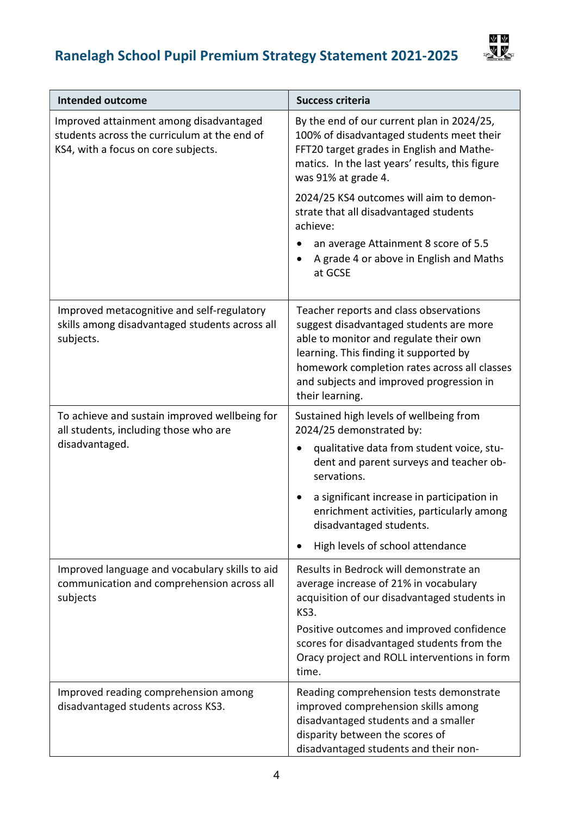# Ranelagh School Pupil Premium Strategy Statement 2021-2025



| <b>Intended outcome</b>                                                                                                        | <b>Success criteria</b>                                                                                                                                                                                                                                                              |
|--------------------------------------------------------------------------------------------------------------------------------|--------------------------------------------------------------------------------------------------------------------------------------------------------------------------------------------------------------------------------------------------------------------------------------|
| Improved attainment among disadvantaged<br>students across the curriculum at the end of<br>KS4, with a focus on core subjects. | By the end of our current plan in 2024/25,<br>100% of disadvantaged students meet their<br>FFT20 target grades in English and Mathe-<br>matics. In the last years' results, this figure<br>was 91% at grade 4.                                                                       |
|                                                                                                                                | 2024/25 KS4 outcomes will aim to demon-<br>strate that all disadvantaged students<br>achieve:                                                                                                                                                                                        |
|                                                                                                                                | an average Attainment 8 score of 5.5<br>A grade 4 or above in English and Maths<br>at GCSE                                                                                                                                                                                           |
| Improved metacognitive and self-regulatory<br>skills among disadvantaged students across all<br>subjects.                      | Teacher reports and class observations<br>suggest disadvantaged students are more<br>able to monitor and regulate their own<br>learning. This finding it supported by<br>homework completion rates across all classes<br>and subjects and improved progression in<br>their learning. |
| To achieve and sustain improved wellbeing for<br>all students, including those who are                                         | Sustained high levels of wellbeing from<br>2024/25 demonstrated by:                                                                                                                                                                                                                  |
| disadvantaged.                                                                                                                 | qualitative data from student voice, stu-<br>dent and parent surveys and teacher ob-<br>servations.                                                                                                                                                                                  |
|                                                                                                                                | a significant increase in participation in<br>enrichment activities, particularly among<br>disadvantaged students.                                                                                                                                                                   |
|                                                                                                                                | High levels of school attendance                                                                                                                                                                                                                                                     |
| Improved language and vocabulary skills to aid<br>communication and comprehension across all<br>subjects                       | Results in Bedrock will demonstrate an<br>average increase of 21% in vocabulary<br>acquisition of our disadvantaged students in<br>KS3.                                                                                                                                              |
|                                                                                                                                | Positive outcomes and improved confidence<br>scores for disadvantaged students from the<br>Oracy project and ROLL interventions in form<br>time.                                                                                                                                     |
| Improved reading comprehension among<br>disadvantaged students across KS3.                                                     | Reading comprehension tests demonstrate<br>improved comprehension skills among<br>disadvantaged students and a smaller<br>disparity between the scores of<br>disadvantaged students and their non-                                                                                   |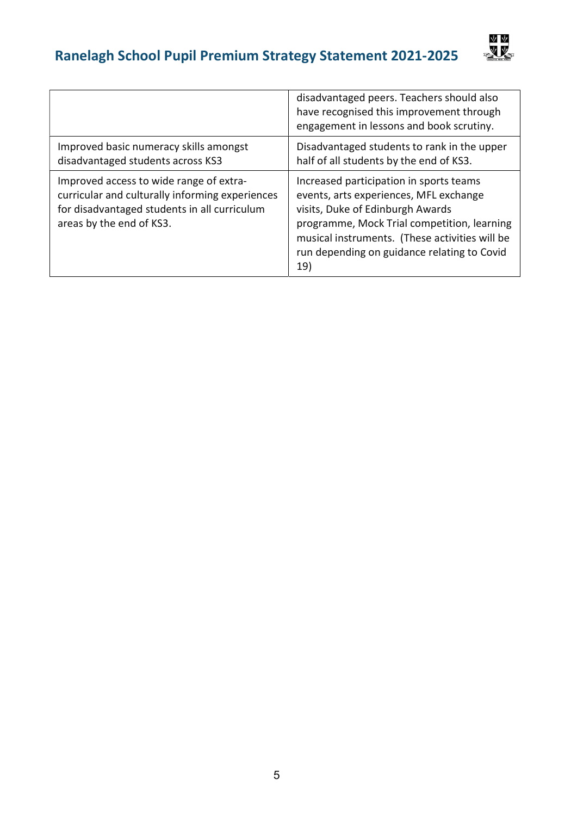

|                                                                                                                                                                        | disadvantaged peers. Teachers should also<br>have recognised this improvement through<br>engagement in lessons and book scrutiny.                                                                                                                                            |
|------------------------------------------------------------------------------------------------------------------------------------------------------------------------|------------------------------------------------------------------------------------------------------------------------------------------------------------------------------------------------------------------------------------------------------------------------------|
| Improved basic numeracy skills amongst<br>disadvantaged students across KS3                                                                                            | Disadvantaged students to rank in the upper<br>half of all students by the end of KS3.                                                                                                                                                                                       |
| Improved access to wide range of extra-<br>curricular and culturally informing experiences<br>for disadvantaged students in all curriculum<br>areas by the end of KS3. | Increased participation in sports teams<br>events, arts experiences, MFL exchange<br>visits, Duke of Edinburgh Awards<br>programme, Mock Trial competition, learning<br>musical instruments. (These activities will be<br>run depending on guidance relating to Covid<br>19) |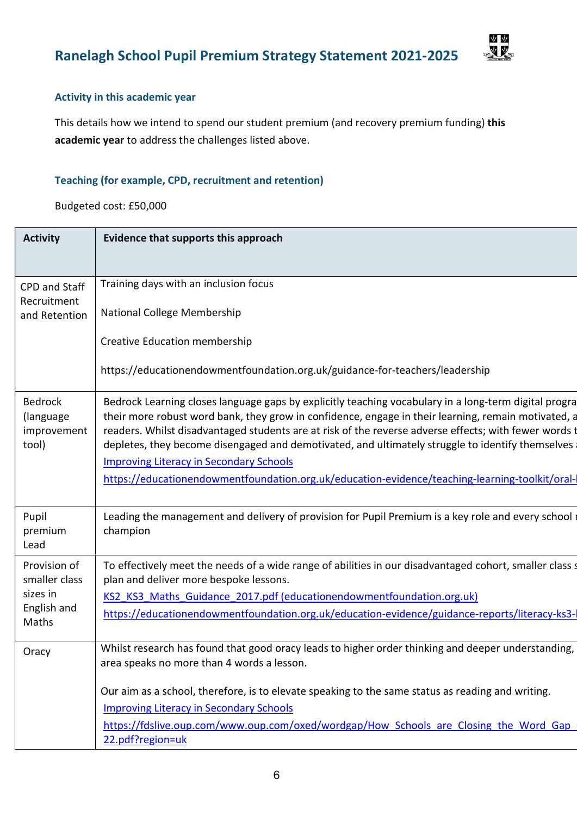



### Activity in this academic year

This details how we intend to spend our student premium (and recovery premium funding) this academic year to address the challenges listed above.

### Teaching (for example, CPD, recruitment and retention)

Budgeted cost: £50,000

| <b>Activity</b>                                     | Evidence that supports this approach                                                                                                                                                                                                                                                                                                                                                                                      |  |
|-----------------------------------------------------|---------------------------------------------------------------------------------------------------------------------------------------------------------------------------------------------------------------------------------------------------------------------------------------------------------------------------------------------------------------------------------------------------------------------------|--|
|                                                     |                                                                                                                                                                                                                                                                                                                                                                                                                           |  |
| CPD and Staff                                       | Training days with an inclusion focus                                                                                                                                                                                                                                                                                                                                                                                     |  |
| Recruitment<br>and Retention                        | National College Membership                                                                                                                                                                                                                                                                                                                                                                                               |  |
|                                                     | <b>Creative Education membership</b>                                                                                                                                                                                                                                                                                                                                                                                      |  |
|                                                     | https://educationendowmentfoundation.org.uk/guidance-for-teachers/leadership                                                                                                                                                                                                                                                                                                                                              |  |
| <b>Bedrock</b><br>(language<br>improvement<br>tool) | Bedrock Learning closes language gaps by explicitly teaching vocabulary in a long-term digital progra<br>their more robust word bank, they grow in confidence, engage in their learning, remain motivated, a<br>readers. Whilst disadvantaged students are at risk of the reverse adverse effects; with fewer words t<br>depletes, they become disengaged and demotivated, and ultimately struggle to identify themselves |  |
|                                                     | <b>Improving Literacy in Secondary Schools</b>                                                                                                                                                                                                                                                                                                                                                                            |  |
|                                                     | https://educationendowmentfoundation.org.uk/education-evidence/teaching-learning-toolkit/oral-                                                                                                                                                                                                                                                                                                                            |  |
| Pupil<br>premium<br>Lead                            | Leading the management and delivery of provision for Pupil Premium is a key role and every school<br>champion                                                                                                                                                                                                                                                                                                             |  |
| Provision of<br>smaller class                       | To effectively meet the needs of a wide range of abilities in our disadvantaged cohort, smaller class s<br>plan and deliver more bespoke lessons.                                                                                                                                                                                                                                                                         |  |
| sizes in                                            | KS2 KS3 Maths Guidance 2017.pdf (educationendowmentfoundation.org.uk)                                                                                                                                                                                                                                                                                                                                                     |  |
| English and<br>Maths                                | https://educationendowmentfoundation.org.uk/education-evidence/guidance-reports/literacy-ks3-                                                                                                                                                                                                                                                                                                                             |  |
| Oracy                                               | Whilst research has found that good oracy leads to higher order thinking and deeper understanding,<br>area speaks no more than 4 words a lesson.                                                                                                                                                                                                                                                                          |  |
|                                                     | Our aim as a school, therefore, is to elevate speaking to the same status as reading and writing.                                                                                                                                                                                                                                                                                                                         |  |
|                                                     | <b>Improving Literacy in Secondary Schools</b>                                                                                                                                                                                                                                                                                                                                                                            |  |
|                                                     | https://fdslive.oup.com/www.oup.com/oxed/wordgap/How Schools are Closing the Word Gap                                                                                                                                                                                                                                                                                                                                     |  |
|                                                     | 22.pdf?region=uk                                                                                                                                                                                                                                                                                                                                                                                                          |  |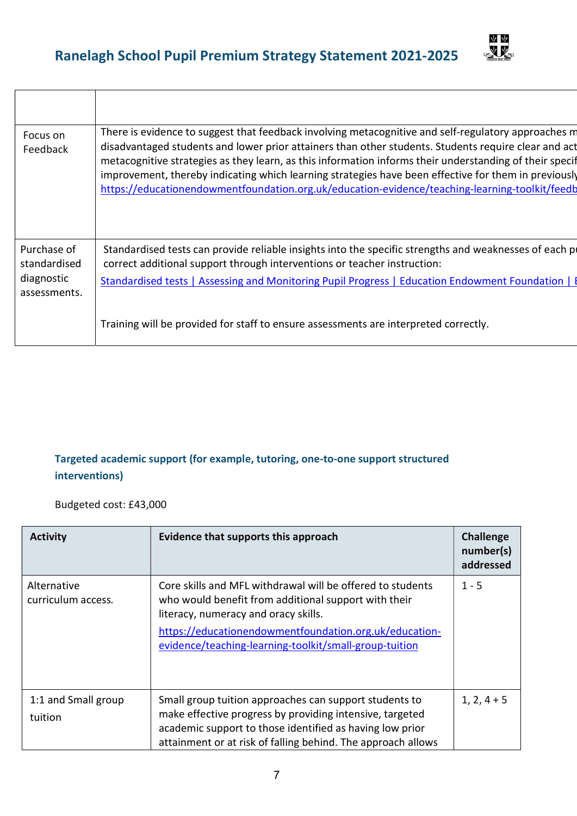

| Focus on<br>Feedback                                      | There is evidence to suggest that feedback involving metacognitive and self-regulatory approaches m<br>disadvantaged students and lower prior attainers than other students. Students require clear and act<br>metacognitive strategies as they learn, as this information informs their understanding of their specif<br>improvement, thereby indicating which learning strategies have been effective for them in previously<br>https://educationendowmentfoundation.org.uk/education-evidence/teaching-learning-toolkit/feedb |
|-----------------------------------------------------------|----------------------------------------------------------------------------------------------------------------------------------------------------------------------------------------------------------------------------------------------------------------------------------------------------------------------------------------------------------------------------------------------------------------------------------------------------------------------------------------------------------------------------------|
| Purchase of<br>standardised<br>diagnostic<br>assessments. | Standardised tests can provide reliable insights into the specific strengths and weaknesses of each p<br>correct additional support through interventions or teacher instruction:<br>Standardised tests   Assessing and Monitoring Pupil Progress   Education Endowment Foundation   I                                                                                                                                                                                                                                           |
|                                                           | Training will be provided for staff to ensure assessments are interpreted correctly.                                                                                                                                                                                                                                                                                                                                                                                                                                             |

### Targeted academic support (for example, tutoring, one-to-one support structured interventions)

Budgeted cost: £43,000

 $\top$ 

 $\Gamma$ 

| <b>Activity</b>                   | Evidence that supports this approach                                                                                                                                                                                                                                           | <b>Challenge</b><br>number(s)<br>addressed |
|-----------------------------------|--------------------------------------------------------------------------------------------------------------------------------------------------------------------------------------------------------------------------------------------------------------------------------|--------------------------------------------|
| Alternative<br>curriculum access. | Core skills and MFL withdrawal will be offered to students<br>who would benefit from additional support with their<br>literacy, numeracy and oracy skills.<br>https://educationendowmentfoundation.org.uk/education-<br>evidence/teaching-learning-toolkit/small-group-tuition | $1 - 5$                                    |
| 1:1 and Small group<br>tuition    | Small group tuition approaches can support students to<br>make effective progress by providing intensive, targeted<br>academic support to those identified as having low prior<br>attainment or at risk of falling behind. The approach allows                                 | $1, 2, 4 + 5$                              |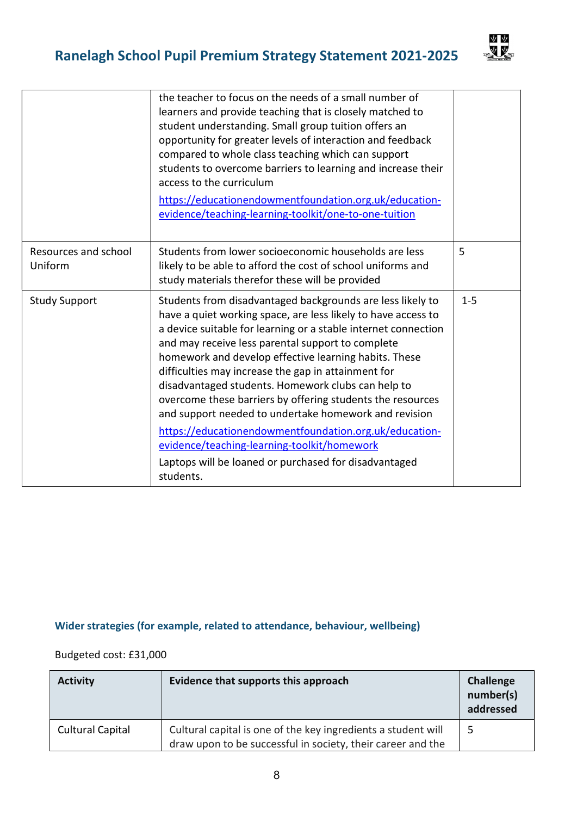## Ranelagh School Pupil Premium Strategy Statement 2021-2025



|                                 | the teacher to focus on the needs of a small number of<br>learners and provide teaching that is closely matched to<br>student understanding. Small group tuition offers an<br>opportunity for greater levels of interaction and feedback<br>compared to whole class teaching which can support<br>students to overcome barriers to learning and increase their<br>access to the curriculum<br>https://educationendowmentfoundation.org.uk/education-<br>evidence/teaching-learning-toolkit/one-to-one-tuition                                                                                                                                                                                                                  |         |
|---------------------------------|--------------------------------------------------------------------------------------------------------------------------------------------------------------------------------------------------------------------------------------------------------------------------------------------------------------------------------------------------------------------------------------------------------------------------------------------------------------------------------------------------------------------------------------------------------------------------------------------------------------------------------------------------------------------------------------------------------------------------------|---------|
| Resources and school<br>Uniform | Students from lower socioeconomic households are less<br>likely to be able to afford the cost of school uniforms and<br>study materials therefor these will be provided                                                                                                                                                                                                                                                                                                                                                                                                                                                                                                                                                        | 5       |
| <b>Study Support</b>            | Students from disadvantaged backgrounds are less likely to<br>have a quiet working space, are less likely to have access to<br>a device suitable for learning or a stable internet connection<br>and may receive less parental support to complete<br>homework and develop effective learning habits. These<br>difficulties may increase the gap in attainment for<br>disadvantaged students. Homework clubs can help to<br>overcome these barriers by offering students the resources<br>and support needed to undertake homework and revision<br>https://educationendowmentfoundation.org.uk/education-<br>evidence/teaching-learning-toolkit/homework<br>Laptops will be loaned or purchased for disadvantaged<br>students. | $1 - 5$ |

### Wider strategies (for example, related to attendance, behaviour, wellbeing)

Budgeted cost: £31,000

| <b>Activity</b>         | Evidence that supports this approach                                                                                         | <b>Challenge</b><br>number(s)<br>addressed |
|-------------------------|------------------------------------------------------------------------------------------------------------------------------|--------------------------------------------|
| <b>Cultural Capital</b> | Cultural capital is one of the key ingredients a student will<br>draw upon to be successful in society, their career and the |                                            |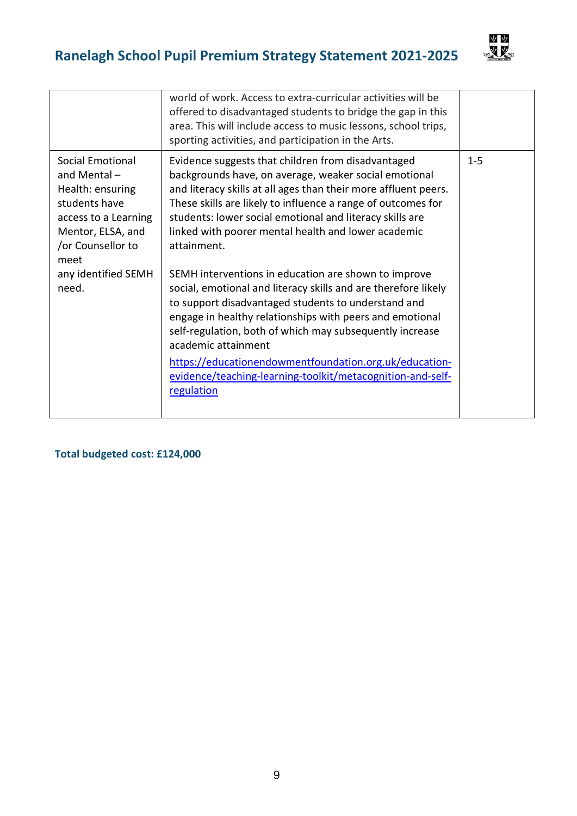## Ranelagh School Pupil Premium Strategy Statement 2021-2025



|                                                                                                                                                                                         | world of work. Access to extra-curricular activities will be<br>offered to disadvantaged students to bridge the gap in this<br>area. This will include access to music lessons, school trips,<br>sporting activities, and participation in the Arts.                                                                                                                                                                                                                                                                                                                                                                                                                                                                                                                                                                                                   |         |
|-----------------------------------------------------------------------------------------------------------------------------------------------------------------------------------------|--------------------------------------------------------------------------------------------------------------------------------------------------------------------------------------------------------------------------------------------------------------------------------------------------------------------------------------------------------------------------------------------------------------------------------------------------------------------------------------------------------------------------------------------------------------------------------------------------------------------------------------------------------------------------------------------------------------------------------------------------------------------------------------------------------------------------------------------------------|---------|
| <b>Social Emotional</b><br>and Mental $-$<br>Health: ensuring<br>students have<br>access to a Learning<br>Mentor, ELSA, and<br>or Counsellor to<br>meet<br>any identified SEMH<br>need. | Evidence suggests that children from disadvantaged<br>backgrounds have, on average, weaker social emotional<br>and literacy skills at all ages than their more affluent peers.<br>These skills are likely to influence a range of outcomes for<br>students: lower social emotional and literacy skills are<br>linked with poorer mental health and lower academic<br>attainment.<br>SEMH interventions in education are shown to improve<br>social, emotional and literacy skills and are therefore likely<br>to support disadvantaged students to understand and<br>engage in healthy relationships with peers and emotional<br>self-regulation, both of which may subsequently increase<br>academic attainment<br>https://educationendowmentfoundation.org.uk/education-<br>evidence/teaching-learning-toolkit/metacognition-and-self-<br>regulation | $1 - 5$ |
|                                                                                                                                                                                         |                                                                                                                                                                                                                                                                                                                                                                                                                                                                                                                                                                                                                                                                                                                                                                                                                                                        |         |

Total budgeted cost: £124,000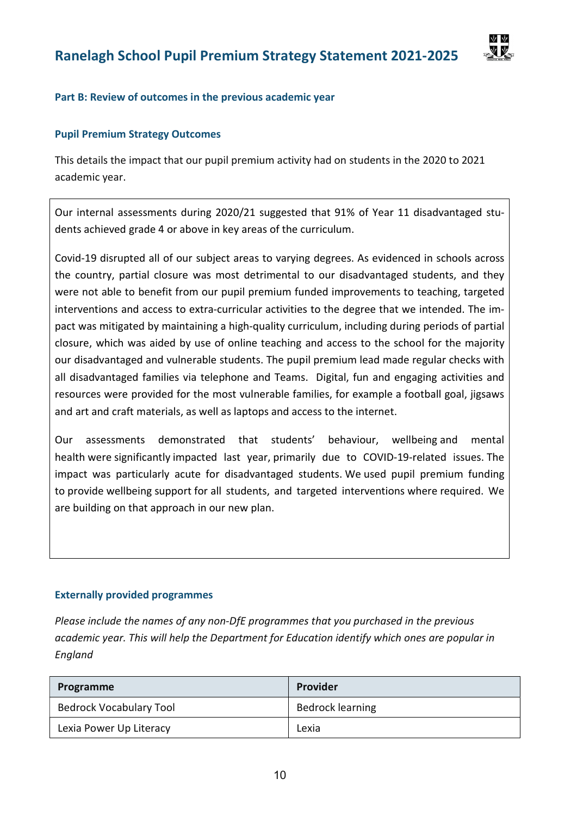

### Part B: Review of outcomes in the previous academic year

### Pupil Premium Strategy Outcomes

This details the impact that our pupil premium activity had on students in the 2020 to 2021 academic year.

Our internal assessments during 2020/21 suggested that 91% of Year 11 disadvantaged students achieved grade 4 or above in key areas of the curriculum.

Covid-19 disrupted all of our subject areas to varying degrees. As evidenced in schools across the country, partial closure was most detrimental to our disadvantaged students, and they were not able to benefit from our pupil premium funded improvements to teaching, targeted interventions and access to extra-curricular activities to the degree that we intended. The impact was mitigated by maintaining a high-quality curriculum, including during periods of partial closure, which was aided by use of online teaching and access to the school for the majority our disadvantaged and vulnerable students. The pupil premium lead made regular checks with all disadvantaged families via telephone and Teams. Digital, fun and engaging activities and resources were provided for the most vulnerable families, for example a football goal, jigsaws and art and craft materials, as well as laptops and access to the internet.

Our assessments demonstrated that students' behaviour, wellbeing and mental health were significantly impacted last year, primarily due to COVID-19-related issues. The impact was particularly acute for disadvantaged students. We used pupil premium funding to provide wellbeing support for all students, and targeted interventions where required. We are building on that approach in our new plan.

### Externally provided programmes

Please include the names of any non-DfE programmes that you purchased in the previous academic year. This will help the Department for Education identify which ones are popular in England

| Programme                      | Provider                |
|--------------------------------|-------------------------|
| <b>Bedrock Vocabulary Tool</b> | <b>Bedrock learning</b> |
| Lexia Power Up Literacy        | Lexia                   |